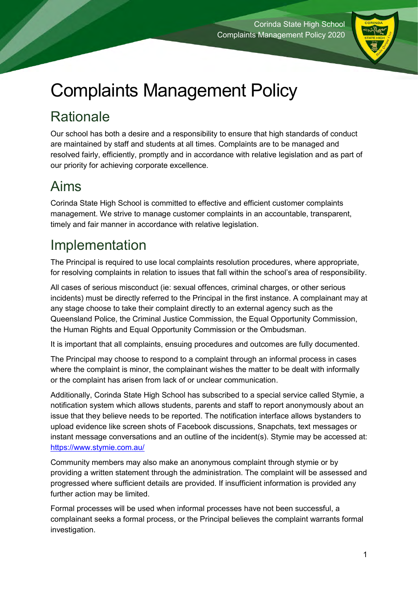

# Complaints Management Policy

# **Rationale**

Our school has both a desire and a responsibility to ensure that high standards of conduct are maintained by staff and students at all times. Complaints are to be managed and resolved fairly, efficiently, promptly and in accordance with relative legislation and as part of our priority for achieving corporate excellence.

## Aims

Corinda State High School is committed to effective and efficient customer complaints management. We strive to manage customer complaints in an accountable, transparent, timely and fair manner in accordance with relative legislation.

# Implementation

The Principal is required to use local complaints resolution procedures, where appropriate, for resolving complaints in relation to issues that fall within the school's area of responsibility.

All cases of serious misconduct (ie: sexual offences, criminal charges, or other serious incidents) must be directly referred to the Principal in the first instance. A complainant may at any stage choose to take their complaint directly to an external agency such as the Queensland Police, the Criminal Justice Commission, the Equal Opportunity Commission, the Human Rights and Equal Opportunity Commission or the Ombudsman.

It is important that all complaints, ensuing procedures and outcomes are fully documented.

The Principal may choose to respond to a complaint through an informal process in cases where the complaint is minor, the complainant wishes the matter to be dealt with informally or the complaint has arisen from lack of or unclear communication.

Additionally, Corinda State High School has subscribed to a special service called Stymie, a notification system which allows students, parents and staff to report anonymously about an issue that they believe needs to be reported. The notification interface allows bystanders to upload evidence like screen shots of Facebook discussions, Snapchats, text messages or instant message conversations and an outline of the incident(s). Stymie may be accessed at: <https://www.stymie.com.au/>

Community members may also make an anonymous complaint through stymie or by providing a written statement through the administration. The complaint will be assessed and progressed where sufficient details are provided. If insufficient information is provided any further action may be limited.

Formal processes will be used when informal processes have not been successful, a complainant seeks a formal process, or the Principal believes the complaint warrants formal investigation.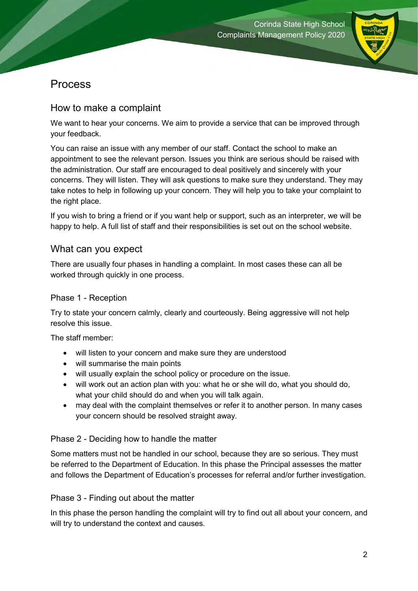

#### Process

#### How to make a complaint

We want to hear your concerns. We aim to provide a service that can be improved through your feedback.

You can raise an issue with any member of our staff. Contact the school to make an appointment to see the relevant person. Issues you think are serious should be raised with the administration. Our staff are encouraged to deal positively and sincerely with your concerns. They will listen. They will ask questions to make sure they understand. They may take notes to help in following up your concern. They will help you to take your complaint to the right place.

If you wish to bring a friend or if you want help or support, such as an interpreter, we will be happy to help. A full list of staff and their responsibilities is set out on the school website.

#### What can you expect

There are usually four phases in handling a complaint. In most cases these can all be worked through quickly in one process.

#### Phase 1 - Reception

Try to state your concern calmly, clearly and courteously. Being aggressive will not help resolve this issue.

The staff member:

- will listen to your concern and make sure they are understood
- will summarise the main points
- will usually explain the school policy or procedure on the issue.
- will work out an action plan with you: what he or she will do, what you should do, what your child should do and when you will talk again.
- may deal with the complaint themselves or refer it to another person. In many cases your concern should be resolved straight away.

#### Phase 2 - Deciding how to handle the matter

Some matters must not be handled in our school, because they are so serious. They must be referred to the Department of Education. In this phase the Principal assesses the matter and follows the Department of Education's processes for referral and/or further investigation.

#### Phase 3 - Finding out about the matter

In this phase the person handling the complaint will try to find out all about your concern, and will try to understand the context and causes.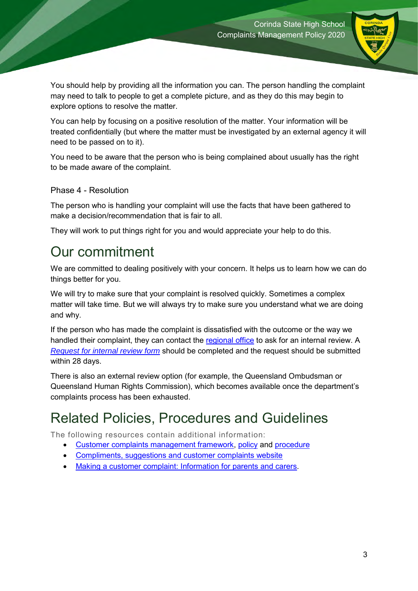

You should help by providing all the information you can. The person handling the complaint may need to talk to people to get a complete picture, and as they do this may begin to explore options to resolve the matter.

You can help by focusing on a positive resolution of the matter. Your information will be treated confidentially (but where the matter must be investigated by an external agency it will need to be passed on to it).

You need to be aware that the person who is being complained about usually has the right to be made aware of the complaint.

#### Phase 4 - Resolution

The person who is handling your complaint will use the facts that have been gathered to make a decision/recommendation that is fair to all.

They will work to put things right for you and would appreciate your help to do this.

### Our commitment

We are committed to dealing positively with your concern. It helps us to learn how we can do things better for you.

We will try to make sure that your complaint is resolved quickly. Sometimes a complex matter will take time. But we will always try to make sure you understand what we are doing and why.

If the person who has made the complaint is dissatisfied with the outcome or the way we handled their complaint, they can contact the [regional office](https://education.qld.gov.au/contact-us/state-schools-regional-contacts) to ask for an internal review. A *[Request for internal review form](http://ppr.det.qld.gov.au/corp/governance/Procedure%20Attachments/Customer%20complaints%20management/Request%20for%20internal%20review%20form.docx)* should be completed and the request should be submitted within 28 days.

There is also an external review option (for example, the Queensland Ombudsman or Queensland Human Rights Commission), which becomes available once the department's complaints process has been exhausted.

### Related Policies, Procedures and Guidelines

The following resources contain additional information:

- [Customer complaints management framework,](http://ppr.det.qld.gov.au/pif/policies/Documents/Customer-Complaints-Management-Framework.pdf) [policy](http://ppr.det.qld.gov.au/pif/policies/Documents/Customer-complaints-management-policy.pdf) and [procedure](http://ppr.det.qld.gov.au/corp/governance/Procedure%20Attachments/Customer%20complaints%20management/Customer-complaints-management.pdf)
- [Compliments, suggestions and customer complaints website](https://qed.qld.gov.au/contact/customer-compliments-complaints)
- [Making a customer complaint: Information for parents and carers.](http://ppr.det.qld.gov.au/corp/governance/Procedure%20Attachments/Customer%20complaints%20management/information-for-parents-and-carers.doc)